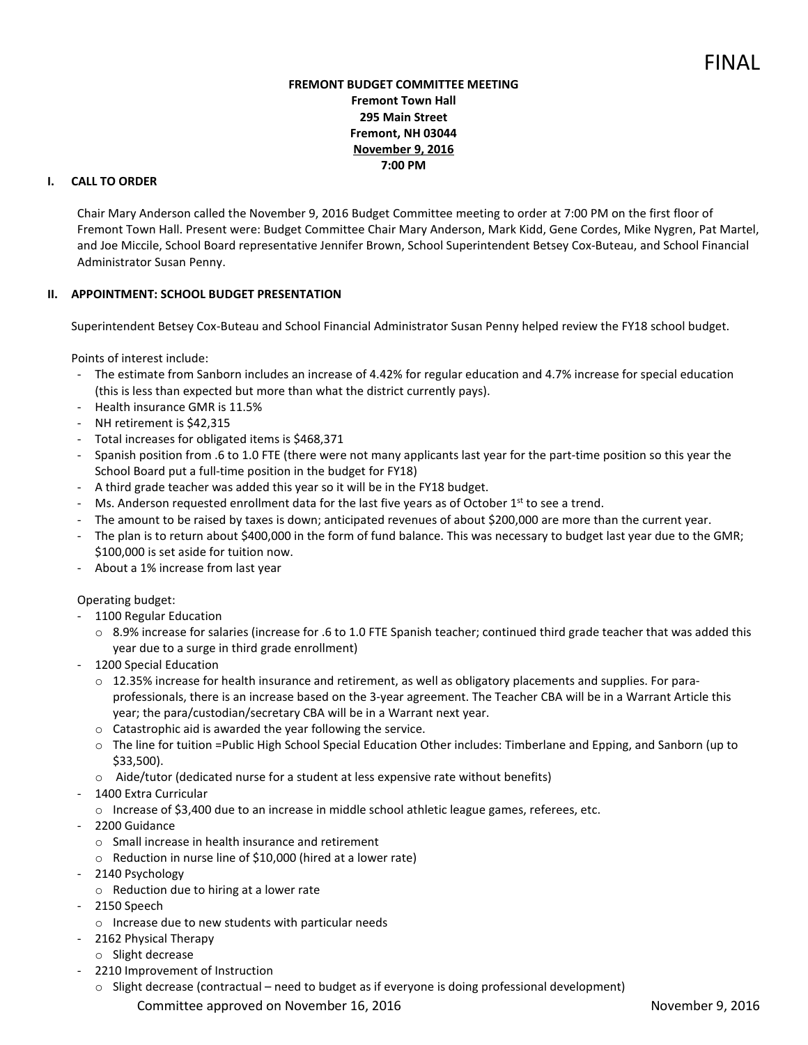## **FREMONT BUDGET COMMITTEE MEETING Fremont Town Hall 295 Main Street Fremont, NH 03044 November 9, 2016 7:00 PM**

# **I. CALL TO ORDER**

Chair Mary Anderson called the November 9, 2016 Budget Committee meeting to order at 7:00 PM on the first floor of Fremont Town Hall. Present were: Budget Committee Chair Mary Anderson, Mark Kidd, Gene Cordes, Mike Nygren, Pat Martel, and Joe Miccile, School Board representative Jennifer Brown, School Superintendent Betsey Cox-Buteau, and School Financial Administrator Susan Penny.

## **II. APPOINTMENT: SCHOOL BUDGET PRESENTATION**

Superintendent Betsey Cox-Buteau and School Financial Administrator Susan Penny helped review the FY18 school budget.

Points of interest include:

- The estimate from Sanborn includes an increase of 4.42% for regular education and 4.7% increase for special education (this is less than expected but more than what the district currently pays).
- Health insurance GMR is 11.5%
- NH retirement is \$42,315
- Total increases for obligated items is \$468,371
- Spanish position from .6 to 1.0 FTE (there were not many applicants last year for the part-time position so this year the School Board put a full-time position in the budget for FY18)
- A third grade teacher was added this year so it will be in the FY18 budget.
- Ms. Anderson requested enrollment data for the last five years as of October  $1<sup>st</sup>$  to see a trend.
- The amount to be raised by taxes is down; anticipated revenues of about \$200,000 are more than the current year.
- The plan is to return about \$400,000 in the form of fund balance. This was necessary to budget last year due to the GMR; \$100,000 is set aside for tuition now.
- About a 1% increase from last year

### Operating budget:

- 1100 Regular Education
	- $\circ$  8.9% increase for salaries (increase for .6 to 1.0 FTE Spanish teacher; continued third grade teacher that was added this year due to a surge in third grade enrollment)
- 1200 Special Education
	- o 12.35% increase for health insurance and retirement, as well as obligatory placements and supplies. For paraprofessionals, there is an increase based on the 3-year agreement. The Teacher CBA will be in a Warrant Article this year; the para/custodian/secretary CBA will be in a Warrant next year.
	- o Catastrophic aid is awarded the year following the service.
	- $\circ$  The line for tuition =Public High School Special Education Other includes: Timberlane and Epping, and Sanborn (up to \$33,500).
	- o Aide/tutor (dedicated nurse for a student at less expensive rate without benefits)
- 1400 Extra Curricular
	- $\circ$  Increase of \$3,400 due to an increase in middle school athletic league games, referees, etc.
- 2200 Guidance
	- o Small increase in health insurance and retirement
	- o Reduction in nurse line of \$10,000 (hired at a lower rate)
- 2140 Psychology
- o Reduction due to hiring at a lower rate
- 2150 Speech
	- o Increase due to new students with particular needs
- 2162 Physical Therapy
- o Slight decrease
- 2210 Improvement of Instruction
	- Committee approved on November 16, 2016 November 9, 2016 o Slight decrease (contractual – need to budget as if everyone is doing professional development)